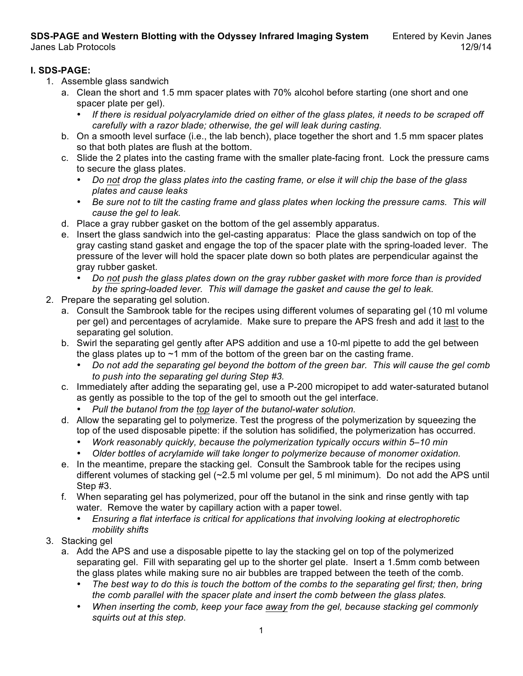**SDS-PAGE and Western Blotting with the Odyssey Infrared Imaging System** Entered by Kevin Janes<br>12/9/14 Janes Lab Protocols

#### **I. SDS-PAGE:**

- 1. Assemble glass sandwich
	- a. Clean the short and 1.5 mm spacer plates with 70% alcohol before starting (one short and one spacer plate per gel).
		- *If there is residual polyacrylamide dried on either of the glass plates, it needs to be scraped off carefully with a razor blade; otherwise, the gel will leak during casting.*
	- b. On a smooth level surface (i.e., the lab bench), place together the short and 1.5 mm spacer plates so that both plates are flush at the bottom.
	- c. Slide the 2 plates into the casting frame with the smaller plate-facing front. Lock the pressure cams to secure the glass plates.
		- *Do not drop the glass plates into the casting frame, or else it will chip the base of the glass plates and cause leaks*
		- *Be sure not to tilt the casting frame and glass plates when locking the pressure cams. This will cause the gel to leak.*
	- d. Place a gray rubber gasket on the bottom of the gel assembly apparatus.
	- e. Insert the glass sandwich into the gel-casting apparatus: Place the glass sandwich on top of the gray casting stand gasket and engage the top of the spacer plate with the spring-loaded lever. The pressure of the lever will hold the spacer plate down so both plates are perpendicular against the gray rubber gasket.
		- *Do not push the glass plates down on the gray rubber gasket with more force than is provided by the spring-loaded lever. This will damage the gasket and cause the gel to leak.*
- 2. Prepare the separating gel solution.
	- a. Consult the Sambrook table for the recipes using different volumes of separating gel (10 ml volume per gel) and percentages of acrylamide. Make sure to prepare the APS fresh and add it last to the separating gel solution.
	- b. Swirl the separating gel gently after APS addition and use a 10-ml pipette to add the gel between the glass plates up to  $\sim$ 1 mm of the bottom of the green bar on the casting frame.
		- *Do not add the separating gel beyond the bottom of the green bar. This will cause the gel comb to push into the separating gel during Step #3.*
	- c. Immediately after adding the separating gel, use a P-200 micropipet to add water-saturated butanol as gently as possible to the top of the gel to smooth out the gel interface.
		- *Pull the butanol from the top layer of the butanol-water solution.*
	- d. Allow the separating gel to polymerize. Test the progress of the polymerization by squeezing the top of the used disposable pipette: if the solution has solidified, the polymerization has occurred.
		- *Work reasonably quickly, because the polymerization typically occurs within 5–10 min*
		- *Older bottles of acrylamide will take longer to polymerize because of monomer oxidation.*
	- e. In the meantime, prepare the stacking gel. Consult the Sambrook table for the recipes using different volumes of stacking gel (~2.5 ml volume per gel, 5 ml minimum). Do not add the APS until Step #3.
	- f. When separating gel has polymerized, pour off the butanol in the sink and rinse gently with tap water. Remove the water by capillary action with a paper towel.
		- *Ensuring a flat interface is critical for applications that involving looking at electrophoretic mobility shifts*
- 3. Stacking gel
	- a. Add the APS and use a disposable pipette to lay the stacking gel on top of the polymerized separating gel. Fill with separating gel up to the shorter gel plate. Insert a 1.5mm comb between the glass plates while making sure no air bubbles are trapped between the teeth of the comb.
		- *The best way to do this is touch the bottom of the combs to the separating gel first; then, bring the comb parallel with the spacer plate and insert the comb between the glass plates.*
		- *When inserting the comb, keep your face away from the gel, because stacking gel commonly squirts out at this step.*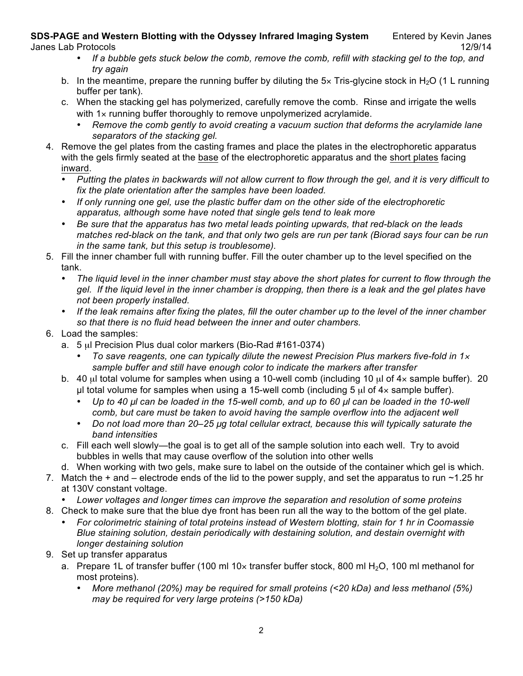# **SDS-PAGE and Western Blotting with the Odyssey Infrared Imaging System** Entered by Kevin Janes

- *If a bubble gets stuck below the comb, remove the comb, refill with stacking gel to the top, and try again*
- b. In the meantime, prepare the running buffer by diluting the  $5\times$  Tris-glycine stock in H<sub>2</sub>O (1 L running buffer per tank).
- c. When the stacking gel has polymerized, carefully remove the comb. Rinse and irrigate the wells with 1x running buffer thoroughly to remove unpolymerized acrylamide.
	- *Remove the comb gently to avoid creating a vacuum suction that deforms the acrylamide lane separators of the stacking gel.*
- 4. Remove the gel plates from the casting frames and place the plates in the electrophoretic apparatus with the gels firmly seated at the base of the electrophoretic apparatus and the short plates facing inward.
	- *Putting the plates in backwards will not allow current to flow through the gel, and it is very difficult to fix the plate orientation after the samples have been loaded.*
	- *If only running one gel, use the plastic buffer dam on the other side of the electrophoretic apparatus, although some have noted that single gels tend to leak more*
	- *Be sure that the apparatus has two metal leads pointing upwards, that red-black on the leads matches red-black on the tank, and that only two gels are run per tank (Biorad says four can be run in the same tank, but this setup is troublesome).*
- 5. Fill the inner chamber full with running buffer. Fill the outer chamber up to the level specified on the tank.
	- *The liquid level in the inner chamber must stay above the short plates for current to flow through the gel. If the liquid level in the inner chamber is dropping, then there is a leak and the gel plates have not been properly installed.*
	- *If the leak remains after fixing the plates, fill the outer chamber up to the level of the inner chamber so that there is no fluid head between the inner and outer chambers.*
- 6. Load the samples:
	- a. 5 µl Precision Plus dual color markers (Bio-Rad #161-0374)
		- *To save reagents, one can typically dilute the newest Precision Plus markers five-fold in 1*<sup>×</sup> *sample buffer and still have enough color to indicate the markers after transfer*
	- b. 40  $\mu$ l total volume for samples when using a 10-well comb (including 10  $\mu$ l of 4 $\times$  sample buffer). 20  $\mu$ l total volume for samples when using a 15-well comb (including 5  $\mu$ l of 4× sample buffer).
		- *Up to 40 µl can be loaded in the 15-well comb, and up to 60 µl can be loaded in the 10-well comb, but care must be taken to avoid having the sample overflow into the adjacent well*
		- *Do not load more than 20–25 µg total cellular extract, because this will typically saturate the band intensities*
	- c. Fill each well slowly—the goal is to get all of the sample solution into each well. Try to avoid bubbles in wells that may cause overflow of the solution into other wells
	- d. When working with two gels, make sure to label on the outside of the container which gel is which.
- 7. Match the  $+$  and  $-$  electrode ends of the lid to the power supply, and set the apparatus to run  $\sim$ 1.25 hr at 130V constant voltage.
	- *Lower voltages and longer times can improve the separation and resolution of some proteins*
- 8. Check to make sure that the blue dye front has been run all the way to the bottom of the gel plate.
	- *For colorimetric staining of total proteins instead of Western blotting, stain for 1 hr in Coomassie Blue staining solution, destain periodically with destaining solution, and destain overnight with longer destaining solution*
- 9. Set up transfer apparatus
	- a. Prepare 1L of transfer buffer (100 ml 10 $\times$  transfer buffer stock, 800 ml H<sub>2</sub>O, 100 ml methanol for most proteins).
		- *More methanol (20%) may be required for small proteins (<20 kDa) and less methanol (5%) may be required for very large proteins (>150 kDa)*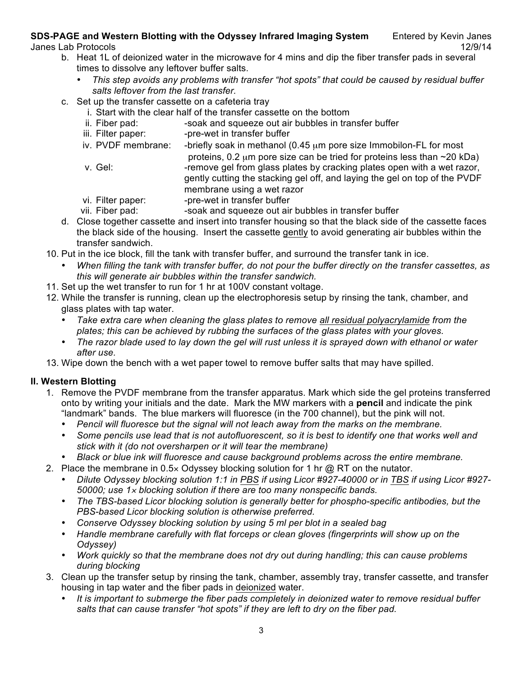## **SDS-PAGE and Western Blotting with the Odyssey Infrared Imaging System** Entered by Kevin Janes

- b. Heat 1L of deionized water in the microwave for 4 mins and dip the fiber transfer pads in several times to dissolve any leftover buffer salts.
	- *This step avoids any problems with transfer "hot spots" that could be caused by residual buffer salts leftover from the last transfer.*
- c. Set up the transfer cassette on a cafeteria tray
	- i. Start with the clear half of the transfer cassette on the bottom
	- ii. Fiber pad:  $\sim$  -soak and squeeze out air bubbles in transfer buffer
	- iii. Filter paper: - pre-wet in transfer buffer
	- iv. PVDF membrane: -briefly soak in methanol  $(0.45 \mu m)$  pore size Immobilon-FL for most
	- proteins, 0.2  $\mu$ m pore size can be tried for proteins less than  $\sim$ 20 kDa) v. Gel:  $\blacksquare$ -remove gel from glass plates by cracking plates open with a wet razor, gently cutting the stacking gel off, and laying the gel on top of the PVDF membrane using a wet razor
	- vi. Filter paper: - pre-wet in transfer buffer
	- vii. Fiber pad:  $-$ soak and squeeze out air bubbles in transfer buffer
- d. Close together cassette and insert into transfer housing so that the black side of the cassette faces the black side of the housing. Insert the cassette gently to avoid generating air bubbles within the transfer sandwich.
- 10. Put in the ice block, fill the tank with transfer buffer, and surround the transfer tank in ice.
	- *When filling the tank with transfer buffer, do not pour the buffer directly on the transfer cassettes, as this will generate air bubbles within the transfer sandwich.*
- 11. Set up the wet transfer to run for 1 hr at 100V constant voltage.
- 12. While the transfer is running, clean up the electrophoresis setup by rinsing the tank, chamber, and glass plates with tap water.
	- *Take extra care when cleaning the glass plates to remove all residual polyacrylamide from the plates; this can be achieved by rubbing the surfaces of the glass plates with your gloves.*
	- *The razor blade used to lay down the gel will rust unless it is sprayed down with ethanol or water after use.*
- 13. Wipe down the bench with a wet paper towel to remove buffer salts that may have spilled.

## **II. Western Blotting**

- 1. Remove the PVDF membrane from the transfer apparatus. Mark which side the gel proteins transferred onto by writing your initials and the date. Mark the MW markers with a **pencil** and indicate the pink "landmark" bands. The blue markers will fluoresce (in the 700 channel), but the pink will not.
	- *Pencil will fluoresce but the signal will not leach away from the marks on the membrane.*
	- *Some pencils use lead that is not autofluorescent, so it is best to identify one that works well and stick with it (do not oversharpen or it will tear the membrane)*
	- *Black or blue ink will fluoresce and cause background problems across the entire membrane.*
- 2. Place the membrane in  $0.5 \times$  Odyssey blocking solution for 1 hr  $\omega$  RT on the nutator.
	- *Dilute Odyssey blocking solution 1:1 in PBS if using Licor #927-40000 or in TBS if using Licor #927- 50000; use 1*<sup>×</sup> *blocking solution if there are too many nonspecific bands.*
	- *The TBS-based Licor blocking solution is generally better for phospho-specific antibodies, but the PBS-based Licor blocking solution is otherwise preferred.*
	- *Conserve Odyssey blocking solution by using 5 ml per blot in a sealed bag*
	- *Handle membrane carefully with flat forceps or clean gloves (fingerprints will show up on the Odyssey)*
	- *Work quickly so that the membrane does not dry out during handling; this can cause problems during blocking*
- 3. Clean up the transfer setup by rinsing the tank, chamber, assembly tray, transfer cassette, and transfer housing in tap water and the fiber pads in deionized water.
	- *It is important to submerge the fiber pads completely in deionized water to remove residual buffer salts that can cause transfer "hot spots" if they are left to dry on the fiber pad.*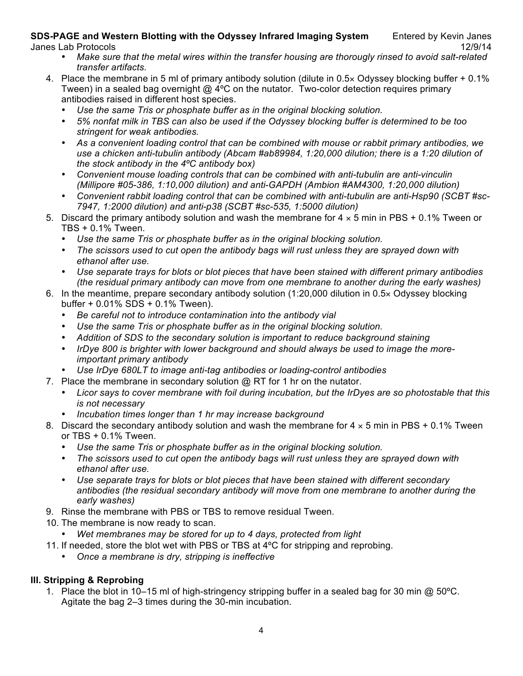#### **SDS-PAGE and Western Blotting with the Odyssey Infrared Imaging System** Entered by Kevin Janes Janes Lab Protocols 12/9/14

- *Make sure that the metal wires within the transfer housing are thorougly rinsed to avoid salt-related transfer artifacts.*
- 4. Place the membrane in 5 ml of primary antibody solution (dilute in 0.5× Odyssey blocking buffer + 0.1% Tween) in a sealed bag overnight @ 4°C on the nutator. Two-color detection requires primary antibodies raised in different host species.
	- *Use the same Tris or phosphate buffer as in the original blocking solution.*
	- *5% nonfat milk in TBS can also be used if the Odyssey blocking buffer is determined to be too stringent for weak antibodies.*
	- *As a convenient loading control that can be combined with mouse or rabbit primary antibodies, we use a chicken anti-tubulin antibody (Abcam #ab89984, 1:20,000 dilution; there is a 1:20 dilution of the stock antibody in the 4ºC antibody box)*
	- *Convenient mouse loading controls that can be combined with anti-tubulin are anti-vinculin (Millipore #05-386, 1:10,000 dilution) and anti-GAPDH (Ambion #AM4300, 1:20,000 dilution)*
	- *Convenient rabbit loading control that can be combined with anti-tubulin are anti-Hsp90 (SCBT #sc-7947, 1:2000 dilution) and anti-p38 (SCBT #sc-535, 1:5000 dilution)*
- 5. Discard the primary antibody solution and wash the membrane for  $4 \times 5$  min in PBS + 0.1% Tween or TBS + 0.1% Tween.
	- *Use the same Tris or phosphate buffer as in the original blocking solution.*
	- *The scissors used to cut open the antibody bags will rust unless they are sprayed down with ethanol after use.*
	- *Use separate trays for blots or blot pieces that have been stained with different primary antibodies (the residual primary antibody can move from one membrane to another during the early washes)*
- 6. In the meantime, prepare secondary antibody solution (1:20,000 dilution in 0.5× Odyssey blocking buffer + 0.01% SDS + 0.1% Tween).
	- *Be careful not to introduce contamination into the antibody vial*
	- *Use the same Tris or phosphate buffer as in the original blocking solution.*
	- *Addition of SDS to the secondary solution is important to reduce background staining*
	- *IrDye 800 is brighter with lower background and should always be used to image the moreimportant primary antibody*
	- *Use IrDye 680LT to image anti-tag antibodies or loading-control antibodies*
- 7. Place the membrane in secondary solution  $@$  RT for 1 hr on the nutator.
	- *Licor says to cover membrane with foil during incubation, but the IrDyes are so photostable that this is not necessary*
	- *Incubation times longer than 1 hr may increase background*
- 8. Discard the secondary antibody solution and wash the membrane for  $4 \times 5$  min in PBS + 0.1% Tween or TBS + 0.1% Tween.
	- *Use the same Tris or phosphate buffer as in the original blocking solution.*
	- *The scissors used to cut open the antibody bags will rust unless they are sprayed down with ethanol after use.*
	- *Use separate trays for blots or blot pieces that have been stained with different secondary antibodies (the residual secondary antibody will move from one membrane to another during the early washes)*
- 9. Rinse the membrane with PBS or TBS to remove residual Tween.
- 10. The membrane is now ready to scan.
	- *Wet membranes may be stored for up to 4 days, protected from light*
- 11. If needed, store the blot wet with PBS or TBS at 4ºC for stripping and reprobing.
	- *Once a membrane is dry, stripping is ineffective*

## **III. Stripping & Reprobing**

1. Place the blot in 10–15 ml of high-stringency stripping buffer in a sealed bag for 30 min @ 50ºC. Agitate the bag 2–3 times during the 30-min incubation.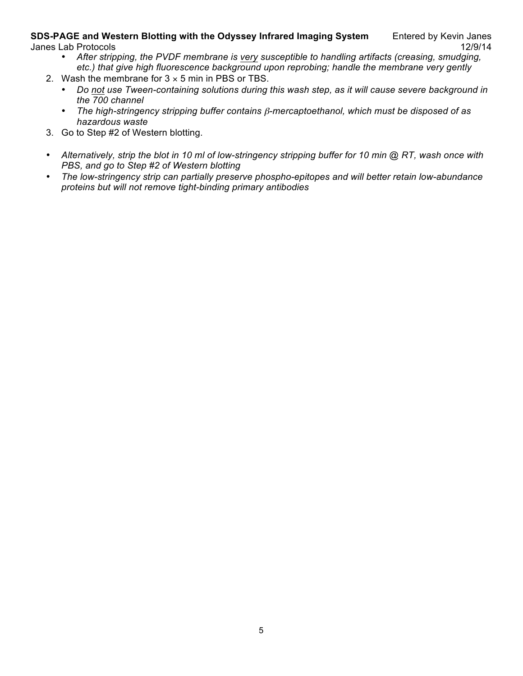#### **SDS-PAGE and Western Blotting with the Odyssey Infrared Imaging System** Entered by Kevin Janes Janes Lab Protocols 12/9/14

- *After stripping, the PVDF membrane is very susceptible to handling artifacts (creasing, smudging, etc.) that give high fluorescence background upon reprobing; handle the membrane very gently*
- 2. Wash the membrane for  $3 \times 5$  min in PBS or TBS.
	- *Do not use Tween-containing solutions during this wash step, as it will cause severe background in the 700 channel*
	- *The high-stringency stripping buffer contains* β*-mercaptoethanol, which must be disposed of as hazardous waste*
- 3. Go to Step #2 of Western blotting.
- *Alternatively, strip the blot in 10 ml of low-stringency stripping buffer for 10 min @ RT, wash once with PBS, and go to Step #2 of Western blotting*
- *The low-stringency strip can partially preserve phospho-epitopes and will better retain low-abundance proteins but will not remove tight-binding primary antibodies*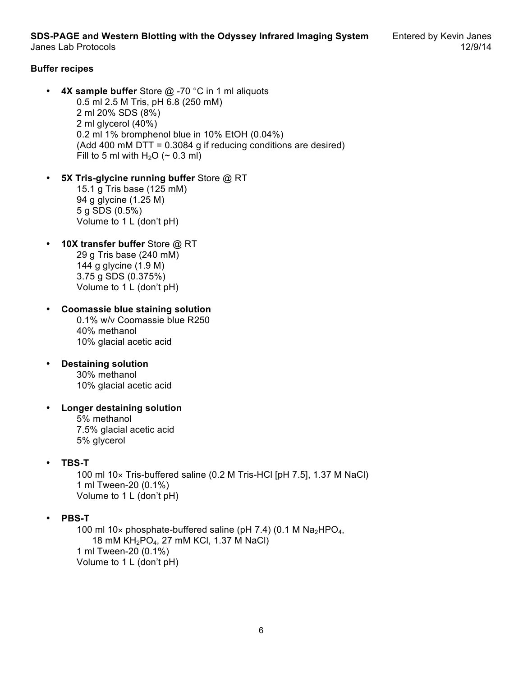**SDS-PAGE and Western Blotting with the Odyssey Infrared Imaging System** Entered by Kevin Janes Janes Lab Protocols 12/9/14

#### **Buffer recipes**

- **4X sample buffer** Store @ -70 °C in 1 ml aliquots 0.5 ml 2.5 M Tris, pH 6.8 (250 mM) 2 ml 20% SDS (8%) 2 ml glycerol (40%) 0.2 ml 1% bromphenol blue in 10% EtOH (0.04%) (Add 400 mM DTT = 0.3084 g if reducing conditions are desired) Fill to 5 ml with  $H_2O$  ( $\sim$  0.3 ml)
- **5X Tris-glycine running buffer** Store @ RT 15.1 g Tris base (125 mM) 94 g glycine (1.25 M) 5 g SDS (0.5%) Volume to 1 L (don't pH)
- **10X transfer buffer** Store @ RT 29 g Tris base (240 mM) 144 g glycine (1.9 M) 3.75 g SDS (0.375%) Volume to 1 L (don't pH)

• **Coomassie blue staining solution** 0.1% w/v Coomassie blue R250 40% methanol 10% glacial acetic acid

- **Destaining solution** 30% methanol 10% glacial acetic acid
- **Longer destaining solution** 5% methanol 7.5% glacial acetic acid 5% glycerol
- **TBS-T**

100 ml 10× Tris-buffered saline (0.2 M Tris-HCl [pH 7.5], 1.37 M NaCl) 1 ml Tween-20 (0.1%) Volume to 1 L (don't pH)

• **PBS-T**

100 ml 10 $\times$  phosphate-buffered saline (pH 7.4) (0.1 M Na<sub>2</sub>HPO<sub>4</sub>, 18 mM KH2PO4, 27 mM KCl, 1.37 M NaCl) 1 ml Tween-20 (0.1%) Volume to 1 L (don't pH)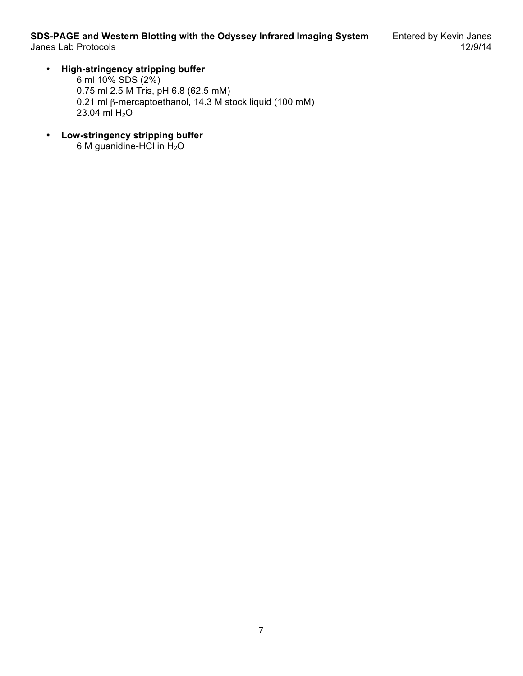## • **High-stringency stripping buffer**

6 ml 10% SDS (2%) 0.75 ml 2.5 M Tris, pH 6.8 (62.5 mM) 0.21 ml β-mercaptoethanol, 14.3 M stock liquid (100 mM) 23.04 ml  $H_2O$ 

• **Low-stringency stripping buffer** 6 M guanidine-HCl in  $H<sub>2</sub>O$